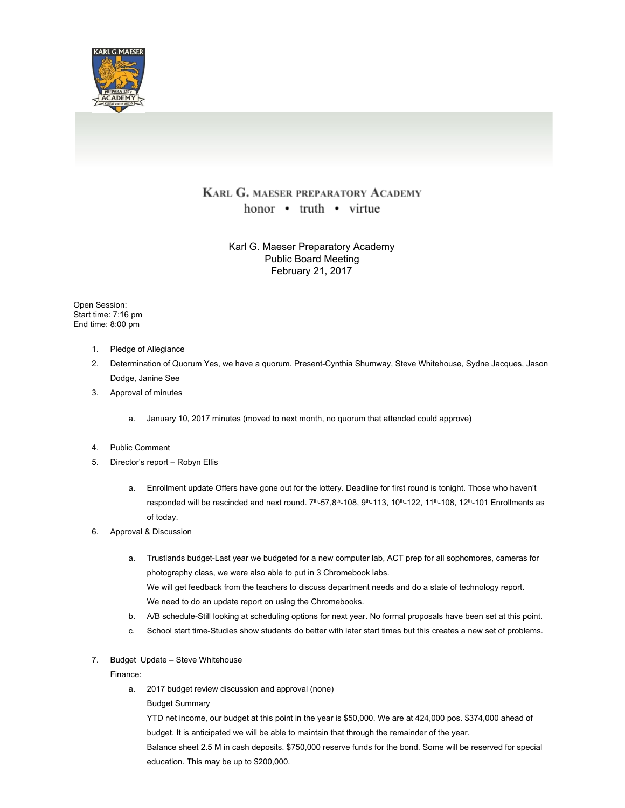

## KARL G. MAESER PREPARATORY ACADEMY honor • truth • virtue

Karl G. Maeser Preparatory Academy Public Board Meeting February 21, 2017

Open Session: Start time: 7:16 pm End time: 8:00 pm

- 1. Pledge of Allegiance
- 2. Determination of Quorum Yes, we have a quorum. Present-Cynthia Shumway, Steve Whitehouse, Sydne Jacques, Jason Dodge, Janine See
- 3. Approval of minutes
	- a. January 10, 2017 minutes (moved to next month, no quorum that attended could approve)
- 4. Public Comment
- 5. Director's report Robyn Ellis
	- a. Enrollment update Offers have gone out for the lottery. Deadline for first round is tonight. Those who haven't responded will be rescinded and next round. 7<sup>th</sup>-57,8<sup>th</sup>-108, 9<sup>th</sup>-113, 10<sup>th</sup>-122, 11<sup>th</sup>-108, 12<sup>th</sup>-101 Enrollments as of today.
- 6. Approval & Discussion
	- a. Trustlands budget-Last year we budgeted for a new computer lab, ACT prep for all sophomores, cameras for photography class, we were also able to put in 3 Chromebook labs. We will get feedback from the teachers to discuss department needs and do a state of technology report. We need to do an update report on using the Chromebooks.
	- b. A/B schedule-Still looking at scheduling options for next year. No formal proposals have been set at this point.
	- c. School start time-Studies show students do better with later start times but this creates a new set of problems.
- 7. Budget Update Steve Whitehouse

Finance:

- a. 2017 budget review discussion and approval (none)
	- Budget Summary

YTD net income, our budget at this point in the year is \$50,000. We are at 424,000 pos. \$374,000 ahead of budget. It is anticipated we will be able to maintain that through the remainder of the year.

Balance sheet 2.5 M in cash deposits. \$750,000 reserve funds for the bond. Some will be reserved for special education. This may be up to \$200,000.